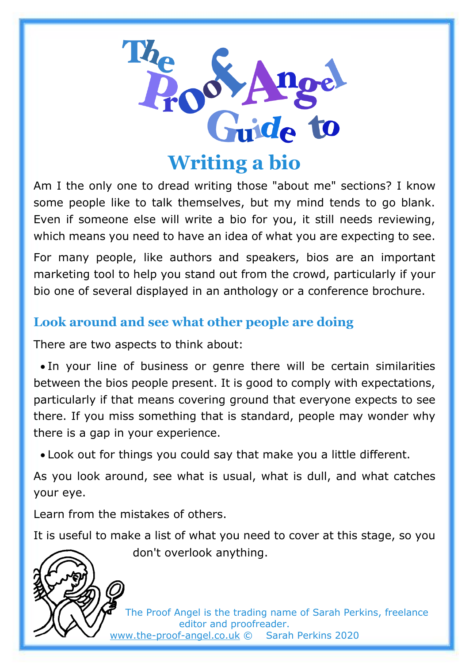

**Writing a bio**

Am I the only one to dread writing those "about me" sections? I know some people like to talk themselves, but my mind tends to go blank. Even if someone else will write a bio for you, it still needs reviewing, which means you need to have an idea of what you are expecting to see.

For many people, like authors and speakers, bios are an important marketing tool to help you stand out from the crowd, particularly if your bio one of several displayed in an anthology or a conference brochure.

# **Look around and see what other people are doing**

There are two aspects to think about:

• In your line of business or genre there will be certain similarities between the bios people present. It is good to comply with expectations, particularly if that means covering ground that everyone expects to see there. If you miss something that is standard, people may wonder why there is a gap in your experience.

• Look out for things you could say that make you a little different.

As you look around, see what is usual, what is dull, and what catches your eye.

Learn from the mistakes of others.

It is useful to make a list of what you need to cover at this stage, so you



don't overlook anything.

The Proof Angel is the trading name of Sarah Perkins, freelance editor and proofreader. [www.the-proof-angel.co.uk](http://www.the-proof-angel.co.uk/) © Sarah Perkins 2020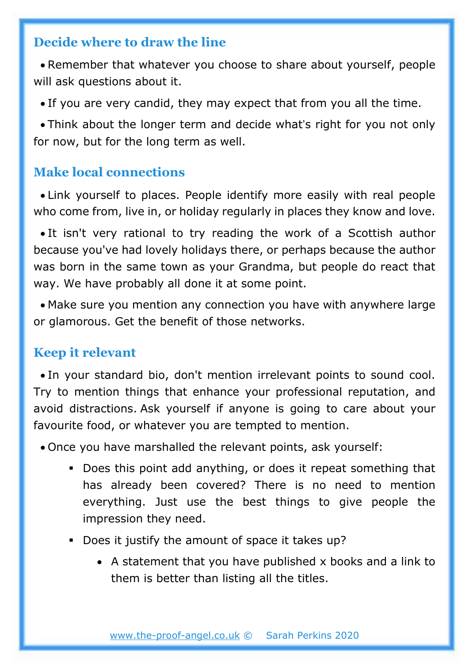#### **Decide where to draw the line**

• Remember that whatever you choose to share about yourself, people will ask questions about it.

• If you are very candid, they may expect that from you all the time.

• Think about the longer term and decide what's right for you not only for now, but for the long term as well.

### **Make local connections**

• Link yourself to places. People identify more easily with real people who come from, live in, or holiday regularly in places they know and love.

• It isn't very rational to try reading the work of a Scottish author because you've had lovely holidays there, or perhaps because the author was born in the same town as your Grandma, but people do react that way. We have probably all done it at some point.

• Make sure you mention any connection you have with anywhere large or glamorous. Get the benefit of those networks.

#### **Keep it relevant**

• In your standard bio, don't mention irrelevant points to sound cool. Try to mention things that enhance your professional reputation, and avoid distractions. Ask yourself if anyone is going to care about your favourite food, or whatever you are tempted to mention.

• Once you have marshalled the relevant points, ask yourself:

- Does this point add anything, or does it repeat something that has already been covered? There is no need to mention everything. Just use the best things to give people the impression they need.
- Does it justify the amount of space it takes up?
	- A statement that you have published x books and a link to them is better than listing all the titles.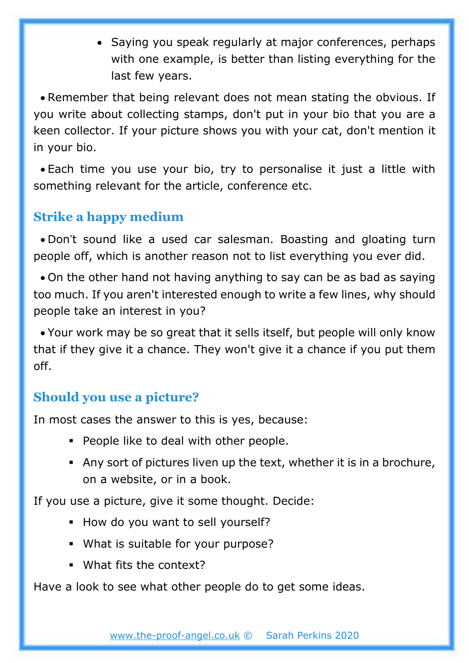• Saying you speak regularly at major conferences, perhaps with one example, is better than listing everything for the last few years.

• Remember that being relevant does not mean stating the obvious. If you write about collecting stamps, don't put in your bio that you are a keen collector. If your picture shows you with your cat, don't mention it in your bio.

• Each time you use your bio, try to personalise it just a little with something relevant for the article, conference etc.

# **Strike a happy medium**

• Don't sound like a used car salesman. Boasting and gloating turn people off, which is another reason not to list everything you ever did.

• On the other hand not having anything to say can be as bad as saying too much. If you aren't interested enough to write a few lines, why should people take an interest in you?

• Your work may be so great that it sells itself, but people will only know that if they give it a chance. They won't give it a chance if you put them off.

## **Should you use a picture?**

In most cases the answer to this is yes, because:

- People like to deal with other people.
- Any sort of pictures liven up the text, whether it is in a brochure, on a website, or in a book.

If you use a picture, give it some thought. Decide:

- How do you want to sell yourself?
- What is suitable for your purpose?
- What fits the context?

Have a look to see what other people do to get some ideas.